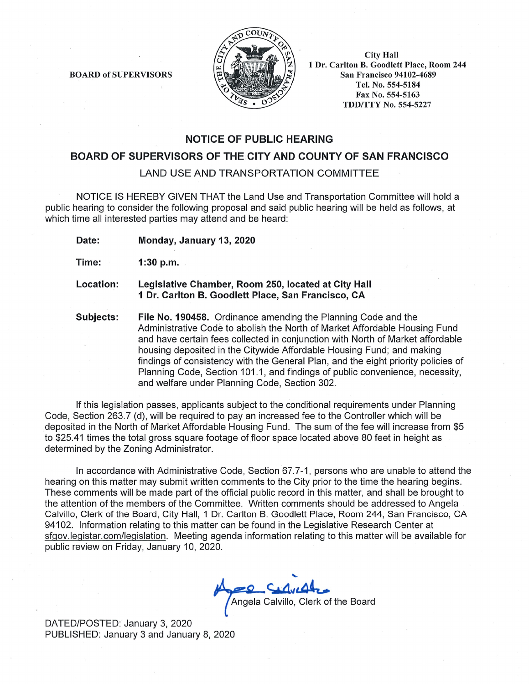

**BOARD of SUPERVISORS** 

**City Hall** 1 Dr. Carlton B. Goodlett Place, Room 244 **San Francisco 94102-4689** Tel. No. 554-5184 Fax No. 554-5163 **TDD/TTY No. 554-5227** 

## **NOTICE OF PUBLIC HEARING**

# BOARD OF SUPERVISORS OF THE CITY AND COUNTY OF SAN FRANCISCO

**LAND USE AND TRANSPORTATION COMMITTEE** 

NOTICE IS HEREBY GIVEN THAT the Land Use and Transportation Committee will hold a public hearing to consider the following proposal and said public hearing will be held as follows, at which time all interested parties may attend and be heard:

Date: Monday, January 13, 2020

- Time:  $1:30$  p.m.
- Location: Legislative Chamber, Room 250, located at City Hall 1 Dr. Carlton B. Goodlett Place, San Francisco, CA
- Subjects: File No. 190458. Ordinance amending the Planning Code and the Administrative Code to abolish the North of Market Affordable Housing Fund and have certain fees collected in conjunction with North of Market affordable housing deposited in the Citywide Affordable Housing Fund; and making findings of consistency with the General Plan, and the eight priority policies of Planning Code, Section 101.1, and findings of public convenience, necessity, and welfare under Planning Code, Section 302.

If this legislation passes, applicants subject to the conditional requirements under Planning Code, Section 263.7 (d), will be required to pay an increased fee to the Controller which will be deposited in the North of Market Affordable Housing Fund. The sum of the fee will increase from \$5 to \$25.41 times the total gross square footage of floor space located above 80 feet in height as determined by the Zoning Administrator.

In accordance with Administrative Code, Section 67.7-1, persons who are unable to attend the hearing on this matter may submit written comments to the City prior to the time the hearing begins. These comments will be made part of the official public record in this matter, and shall be brought to the attention of the members of the Committee. Written comments should be addressed to Angela Calvillo, Clerk of the Board, City Hall, 1 Dr. Carlton B. Goodlett Place, Room 244, San Francisco, CA 94102. Information relating to this matter can be found in the Legislative Research Center at sfgov.legistar.com/legislation. Meeting agenda information relating to this matter will be available for public review on Friday, January 10, 2020.

Angela Calvillo, Clerk of the Board

DATED/POSTED: January 3, 2020 PUBLISHED: January 3 and January 8, 2020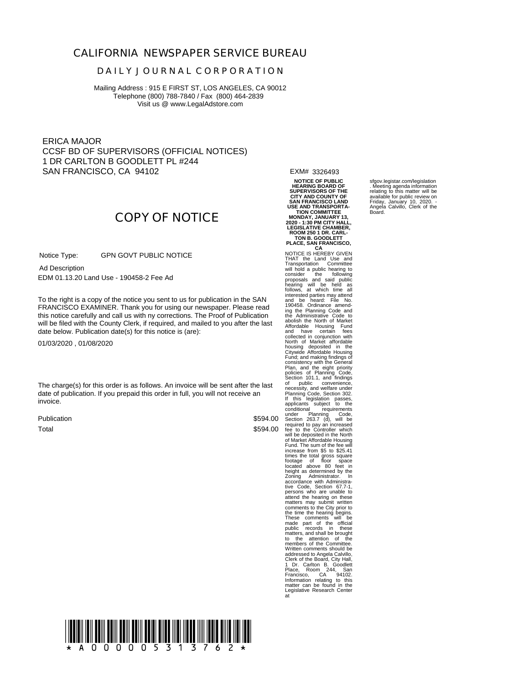### **CALIFORNIA NEWSPAPER SERVICE BUREAU**

#### **D A I L Y J O U R N A L C O R P O R A T I O N**

Mailing Address : 915 E FIRST ST, LOS ANGELES, CA 90012 Telephone (800) 788-7840 / Fax (800) 464-2839 Visit us @ www.LegalAdstore.com

ERICA MAJOR CCSF BD OF SUPERVISORS (OFFICIAL NOTICES) 1 DR CARLTON B GOODLETT PL #244 SAN FRANCISCO, CA 94102

EXM# 3326493

**NOTICE OF PUBLIC HEARING BOARD OF SUPERVISORS OF THE CITY AND COUNTY OF SAN FRANCISCO LAND** USE AND TRANSPORTA-<br>TION COMMITTEE<br>MONDAY, JANUARY 13,<br>2020 - 1:30 PM CITY HALL,<br>LEGISLATIVE CHAMBER,<br>ROOM 250 1 DR. CARL-<br>TON B. GOODLETT

**PLACE, SAN FRANCISCO, CA** NOTICE IS HEREBY GIVEN THAT the Land Use and<br>Transportation Committee<br>will hold a public hearing to<br>consider the following to<br>proposals and said public<br>hearing will be held as<br>follows, at which time all<br>and be heard: File No.<br>190458. Ordinance a abolish the North of Market and Schindale<br>Affordable Housing Fund<br>And have certain feessend in conjunction with<br>and have certain feessend in the Constant of Market affordable<br>Distinct of Market affordable in the General<br>Ci made part of the official public records in these matters, and shall be brought to the attention of the members of the Committee.<br>Written comments should be<br>addressed to Angela Calvillo,<br>Clerk of the Board, City Hall,<br>1 Dr. Carlton B. Goodham<br>Place, Room 244, San<br>Information relating to this<br>Information relating to this<br>matt

sfgov.legistar.com/legislation . Meeting agenda information relating to this matter will be available for public review on Friday, January 10, 2020. - Angela Calvillo, Clerk of the Board.

# **COPY OF NOTICE**

 GPN GOVT PUBLIC NOTICE Notice Type:

 EDM 01.13.20 Land Use - 190458-2 Fee Ad Ad Description

FRANCISCO EXAMINER. Thank you for using our newspaper. Please read<br>this notice carefully and call us with ny corrections. The Proof of Publication To the right is a copy of the notice you sent to us for publication in the SAN FRANCISCO EXAMINER. Thank you for using our newspaper. Please read will be filed with the County Clerk, if required, and mailed to you after the last date below. Publication date(s) for this notice is (are):

01/03/2020 , 01/08/2020

The charge(s) for this order is as follows. An invoice will be sent after the last date of publication. If you prepaid this order in full, you will not receive an invoice.

Publication Total

\$594.00 \$594.00